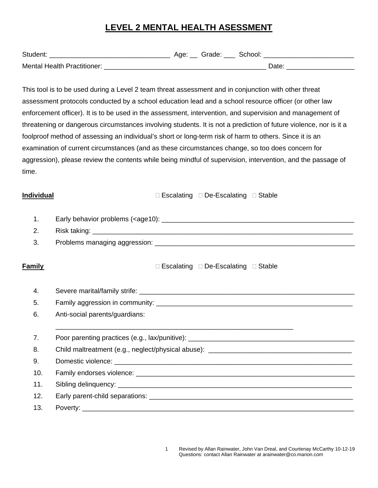## **LEVEL 2 MENTAL HEALTH ASESSMENT**

| Student.                           | Age <sup>-</sup> | srade: | School |  |
|------------------------------------|------------------|--------|--------|--|
| <b>Mental Health Practitioner:</b> |                  |        |        |  |

This tool is to be used during a Level 2 team threat assessment and in conjunction with other threat assessment protocols conducted by a school education lead and a school resource officer (or other law enforcement officer). It is to be used in the assessment, intervention, and supervision and management of threatening or dangerous circumstances involving students. It is not a prediction of future violence, nor is it a foolproof method of assessing an individual's short or long-term risk of harm to others. Since it is an examination of current circumstances (and as these circumstances change, so too does concern for aggression), please review the contents while being mindful of supervision, intervention, and the passage of time.

**Individual** Escalating De-Escalating Stable

| 1.            |                                                                                                                       |
|---------------|-----------------------------------------------------------------------------------------------------------------------|
| 2.            |                                                                                                                       |
| 3.            |                                                                                                                       |
|               |                                                                                                                       |
| <u>Family</u> | $\Box$ Escalating $\Box$ De-Escalating $\Box$ Stable                                                                  |
|               |                                                                                                                       |
| 4.            |                                                                                                                       |
| 5.            |                                                                                                                       |
| 6.            | Anti-social parents/guardians:                                                                                        |
|               | <u> 1989 - Johann Barn, mars ann an t-Amhainn an t-Amhainn an t-Amhainn an t-Amhainn an t-Amhainn an t-Amhainn an</u> |
| 7.            |                                                                                                                       |
| 8.            | Child maltreatment (e.g., neglect/physical abuse): ______________________________                                     |
| 9.            |                                                                                                                       |
| 10.           |                                                                                                                       |
| 11.           |                                                                                                                       |
| 12.           |                                                                                                                       |
| 13.           |                                                                                                                       |
|               |                                                                                                                       |

1 Revised by Allan Rainwater, John Van Dreal, and Courtenay McCarthy 10-12-19 Questions: contact Allan Rainwater at arainwater@co.marion.com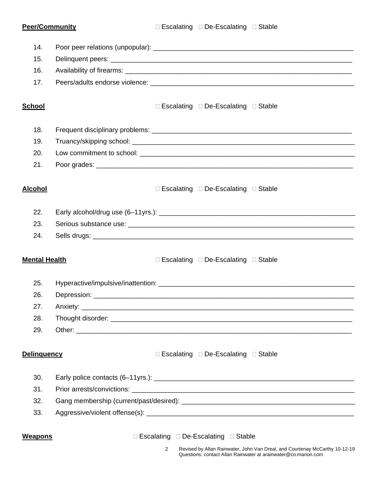| 14.                  |                              |                                                      |                                                                               |
|----------------------|------------------------------|------------------------------------------------------|-------------------------------------------------------------------------------|
| 15.                  |                              |                                                      |                                                                               |
| 16.                  |                              |                                                      |                                                                               |
| 17.                  |                              |                                                      |                                                                               |
| School               |                              | $\Box$ Escalating $\Box$ De-Escalating $\Box$ Stable |                                                                               |
| 18.                  |                              |                                                      |                                                                               |
| 19.                  |                              |                                                      |                                                                               |
| 20.                  |                              |                                                      |                                                                               |
| 21.                  |                              |                                                      |                                                                               |
| <b>Alcohol</b>       |                              | $\Box$ Escalating $\Box$ De-Escalating $\Box$ Stable |                                                                               |
| 22.                  |                              |                                                      |                                                                               |
| 23.                  |                              |                                                      |                                                                               |
| 24.                  |                              |                                                      |                                                                               |
| <b>Mental Health</b> |                              | $\Box$ Escalating $\Box$ De-Escalating $\Box$ Stable |                                                                               |
| 25.                  |                              |                                                      |                                                                               |
| 26.                  |                              |                                                      |                                                                               |
| 27.                  |                              |                                                      |                                                                               |
| 28.                  | Thought disorder: __________ |                                                      |                                                                               |
| 29.                  |                              |                                                      |                                                                               |
| Delinquency          |                              | $\Box$ Escalating $\Box$ De-Escalating $\Box$ Stable |                                                                               |
| 30.                  |                              |                                                      |                                                                               |
| 31.                  |                              |                                                      |                                                                               |
| 32.                  |                              |                                                      |                                                                               |
| 33.                  |                              |                                                      |                                                                               |
|                      |                              |                                                      |                                                                               |
| <u>Weapons</u>       |                              | $\Box$ Escalating $\Box$ De-Escalating $\Box$ Stable |                                                                               |
|                      |                              |                                                      | Boyieed by Allen Beinweter, John Ven Dreel, and Courtenoy McCortby 10, 12, 10 |

2 Revised by Allan Rainwater, John Van Dreal, and Courtenay McCarthy 10-12-19 Questions: contact Allan Rainwater at arainwater@co.marion.com